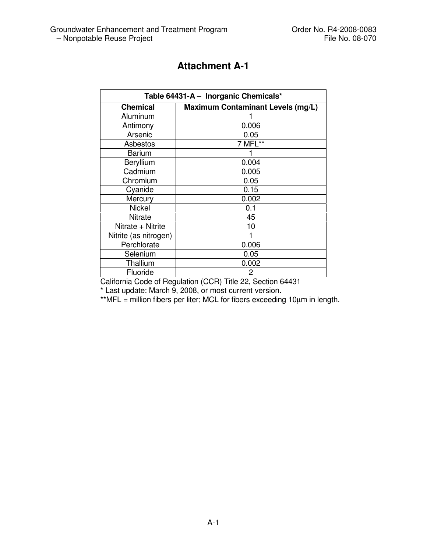| Table 64431-A - Inorganic Chemicals* |                                          |  |
|--------------------------------------|------------------------------------------|--|
| <b>Chemical</b>                      | <b>Maximum Contaminant Levels (mg/L)</b> |  |
| Aluminum                             |                                          |  |
| Antimony                             | 0.006                                    |  |
| Arsenic                              | 0.05                                     |  |
| Asbestos                             | 7 MFL**                                  |  |
| <b>Barium</b>                        |                                          |  |
| Beryllium                            | 0.004                                    |  |
| Cadmium                              | 0.005                                    |  |
| Chromium                             | 0.05                                     |  |
| Cyanide                              | 0.15                                     |  |
| Mercury                              | 0.002                                    |  |
| <b>Nickel</b>                        | 0.1                                      |  |
| Nitrate                              | 45                                       |  |
| Nitrate + Nitrite                    | 10                                       |  |
| Nitrite (as nitrogen)                |                                          |  |
| Perchlorate                          | 0.006                                    |  |
| Selenium                             | 0.05                                     |  |
| Thallium                             | 0.002                                    |  |
| Fluoride                             | 2                                        |  |

California Code of Regulation (CCR) Title 22, Section 64431

\* Last update: March 9, 2008, or most current version.

\*\*MFL = million fibers per liter; MCL for fibers exceeding 10µm in length.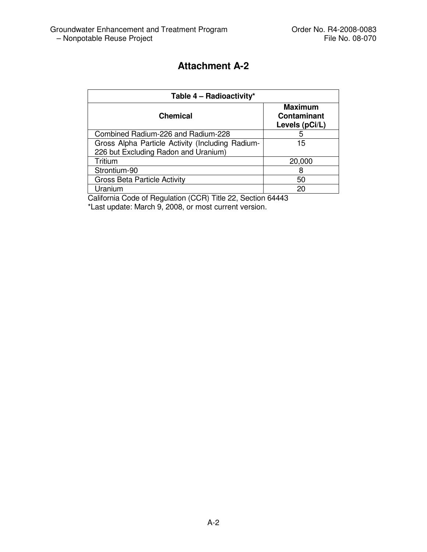| Table 4 - Radioactivity*                         |                                                        |  |
|--------------------------------------------------|--------------------------------------------------------|--|
| <b>Chemical</b>                                  | <b>Maximum</b><br><b>Contaminant</b><br>Levels (pCi/L) |  |
| Combined Radium-226 and Radium-228               | 5                                                      |  |
| Gross Alpha Particle Activity (Including Radium- | 15                                                     |  |
| 226 but Excluding Radon and Uranium)             |                                                        |  |
| Tritium                                          | 20,000                                                 |  |
| Strontium-90                                     |                                                        |  |
| <b>Gross Beta Particle Activity</b>              | 50                                                     |  |
| Uranium                                          | 20                                                     |  |

California Code of Regulation (CCR) Title 22, Section 64443 \*Last update: March 9, 2008, or most current version.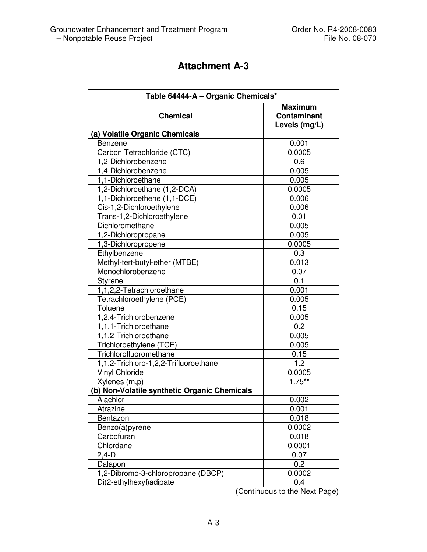| Table 64444-A - Organic Chemicals*           |                                                       |
|----------------------------------------------|-------------------------------------------------------|
| <b>Chemical</b>                              | <b>Maximum</b><br><b>Contaminant</b><br>Levels (mg/L) |
| (a) Volatile Organic Chemicals               |                                                       |
| Benzene                                      | 0.001                                                 |
| Carbon Tetrachloride (CTC)                   | 0.0005                                                |
| 1,2-Dichlorobenzene                          | 0.6                                                   |
| 1,4-Dichlorobenzene                          | 0.005                                                 |
| 1,1-Dichloroethane                           | 0.005                                                 |
| 1,2-Dichloroethane (1,2-DCA)                 | 0.0005                                                |
| 1,1-Dichloroethene (1,1-DCE)                 | 0.006                                                 |
| Cis-1,2-Dichloroethylene                     | 0.006                                                 |
| Trans-1,2-Dichloroethylene                   | 0.01                                                  |
| Dichloromethane                              | 0.005                                                 |
| 1,2-Dichloropropane                          | 0.005                                                 |
| 1,3-Dichloropropene                          | 0.0005                                                |
| Ethylbenzene                                 | 0.3                                                   |
| Methyl-tert-butyl-ether (MTBE)               | 0.013                                                 |
| Monochlorobenzene                            | 0.07                                                  |
| <b>Styrene</b>                               | 0.1                                                   |
| 1,1,2,2-Tetrachloroethane                    | 0.001                                                 |
| Tetrachloroethylene (PCE)                    | 0.005                                                 |
| Toluene                                      | 0.15                                                  |
| 1,2,4-Trichlorobenzene                       | 0.005                                                 |
| 1,1,1-Trichloroethane                        | 0.2                                                   |
| 1,1,2-Trichloroethane                        | 0.005                                                 |
| Trichloroethylene (TCE)                      | 0.005                                                 |
| Trichlorofluoromethane                       | 0.15                                                  |
| 1,1,2-Trichloro-1,2,2-Trifluoroethane        | 1.2                                                   |
| <b>Vinyl Chloride</b>                        | 0.0005                                                |
| Xylenes (m,p)                                | $1.75***$                                             |
| (b) Non-Volatile synthetic Organic Chemicals |                                                       |
| Alachlor                                     | 0.002                                                 |
| Atrazine                                     | 0.001                                                 |
| Bentazon                                     | 0.018                                                 |
| Benzo(a)pyrene                               | 0.0002                                                |
| Carbofuran                                   | 0.018                                                 |
| Chlordane                                    | 0.0001                                                |
| $2,4-D$                                      | 0.07                                                  |
| Dalapon                                      | 0.2                                                   |
| 1,2-Dibromo-3-chloropropane (DBCP)           | 0.0002                                                |
| Di(2-ethylhexyl)adipate                      | 0.4                                                   |

(Continuous to the Next Page)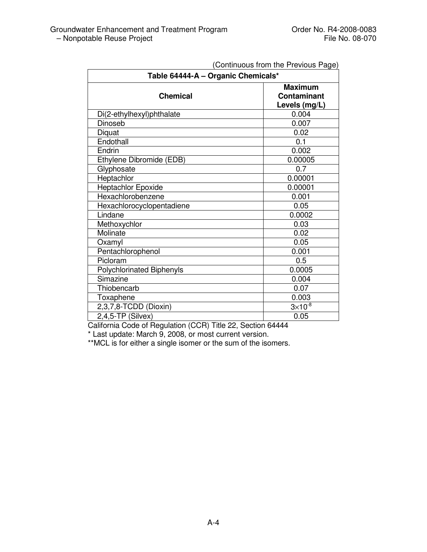| Committed in the revious rage,<br>Table 64444-A - Organic Chemicals* |                                                       |  |
|----------------------------------------------------------------------|-------------------------------------------------------|--|
| <b>Chemical</b>                                                      | <b>Maximum</b><br><b>Contaminant</b><br>Levels (mg/L) |  |
| Di(2-ethylhexyl)phthalate                                            | 0.004                                                 |  |
| Dinoseb                                                              | 0.007                                                 |  |
| Diquat                                                               | 0.02                                                  |  |
| Endothall                                                            | 0.1                                                   |  |
| Endrin                                                               | 0.002                                                 |  |
| Ethylene Dibromide (EDB)                                             | 0.00005                                               |  |
| Glyphosate                                                           | 0.7                                                   |  |
| Heptachlor                                                           | 0.00001                                               |  |
| <b>Heptachlor Epoxide</b>                                            | 0.00001                                               |  |
| Hexachlorobenzene                                                    | 0.001                                                 |  |
| Hexachlorocyclopentadiene                                            | 0.05                                                  |  |
| Lindane                                                              | 0.0002                                                |  |
| Methoxychlor                                                         | 0.03                                                  |  |
| Molinate                                                             | 0.02                                                  |  |
| Oxamyl                                                               | 0.05                                                  |  |
| Pentachlorophenol                                                    | 0.001                                                 |  |
| Picloram                                                             | 0.5                                                   |  |
| <b>Polychlorinated Biphenyls</b>                                     | 0.0005                                                |  |
| Simazine                                                             | 0.004                                                 |  |
| Thiobencarb                                                          | 0.07                                                  |  |
| Toxaphene                                                            | 0.003                                                 |  |
| 2,3,7,8-TCDD (Dioxin)                                                | $3 \times 10^{-8}$                                    |  |
| $2,4,5$ -TP (Silvex)                                                 | 0.05                                                  |  |

California Code of Regulation (CCR) Title 22, Section 64444

\* Last update: March 9, 2008, or most current version.

\*\*MCL is for either a single isomer or the sum of the isomers.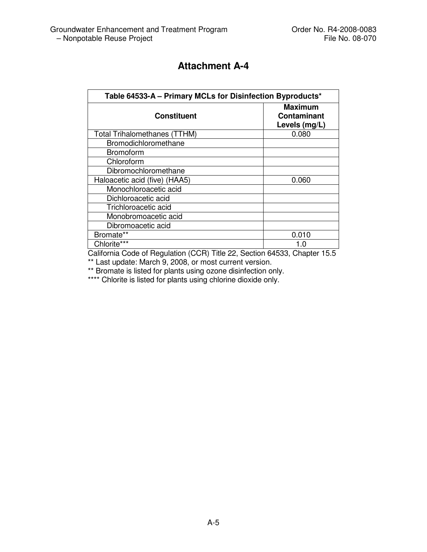| Table 64533-A - Primary MCLs for Disinfection Byproducts* |                                                       |  |
|-----------------------------------------------------------|-------------------------------------------------------|--|
| <b>Constituent</b>                                        | <b>Maximum</b><br><b>Contaminant</b><br>Levels (mg/L) |  |
| <b>Total Trihalomethanes (TTHM)</b>                       | 0.080                                                 |  |
| Bromodichloromethane                                      |                                                       |  |
| <b>Bromoform</b>                                          |                                                       |  |
| Chloroform                                                |                                                       |  |
| Dibromochloromethane                                      |                                                       |  |
| Haloacetic acid (five) (HAA5)                             | 0.060                                                 |  |
| Monochloroacetic acid                                     |                                                       |  |
| Dichloroacetic acid                                       |                                                       |  |
| Trichloroacetic acid                                      |                                                       |  |
| Monobromoacetic acid                                      |                                                       |  |
| Dibromoacetic acid                                        |                                                       |  |
| Bromate**                                                 | 0.010                                                 |  |
| Chlorite***                                               | 1.0                                                   |  |

California Code of Regulation (CCR) Title 22, Section 64533, Chapter 15.5 \*\* Last update: March 9, 2008, or most current version.

\*\* Bromate is listed for plants using ozone disinfection only.

\*\*\*\* Chlorite is listed for plants using chlorine dioxide only.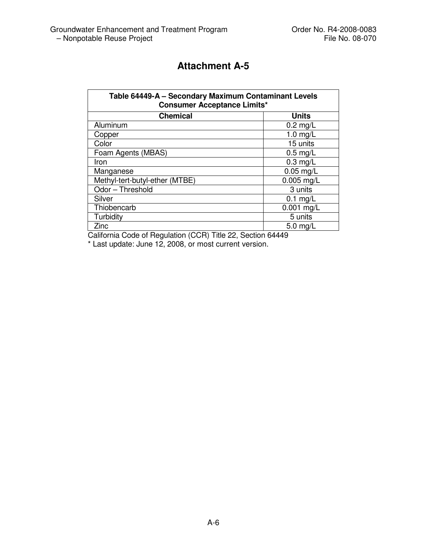| Table 64449-A - Secondary Maximum Contaminant Levels<br><b>Consumer Acceptance Limits*</b> |              |  |
|--------------------------------------------------------------------------------------------|--------------|--|
| <b>Chemical</b><br><b>Units</b>                                                            |              |  |
| Aluminum                                                                                   | $0.2$ mg/L   |  |
| Copper                                                                                     | $1.0$ mg/L   |  |
| Color                                                                                      | 15 units     |  |
| Foam Agents (MBAS)                                                                         | $0.5$ mg/L   |  |
| Iron                                                                                       | $0.3$ mg/L   |  |
| Manganese                                                                                  | $0.05$ mg/L  |  |
| Methyl-tert-butyl-ether (MTBE)                                                             | $0.005$ mg/L |  |
| Odor - Threshold                                                                           | 3 units      |  |
| Silver                                                                                     | $0.1$ mg/L   |  |
| Thiobencarb                                                                                | $0.001$ mg/L |  |
| Turbidity                                                                                  | 5 units      |  |
| Zinc                                                                                       | $5.0$ mg/L   |  |

California Code of Regulation (CCR) Title 22, Section 64449

\* Last update: June 12, 2008, or most current version.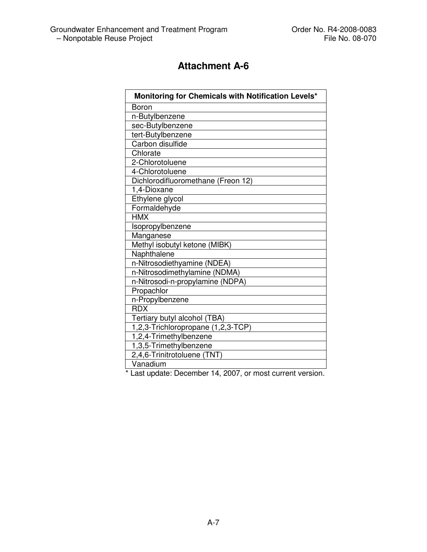| Monitoring for Chemicals with Notification Levels* |
|----------------------------------------------------|
| Boron                                              |
| n-Butylbenzene                                     |
| sec-Butylbenzene                                   |
| tert-Butylbenzene                                  |
| Carbon disulfide                                   |
| Chlorate                                           |
| 2-Chlorotoluene                                    |
| 4-Chlorotoluene                                    |
| Dichlorodifluoromethane (Freon 12)                 |
| 1,4-Dioxane                                        |
| Ethylene glycol                                    |
| Formaldehyde                                       |
| <b>HMX</b>                                         |
| Isopropylbenzene                                   |
| Manganese                                          |
| Methyl isobutyl ketone (MIBK)                      |
| Naphthalene                                        |
| n-Nitrosodiethyamine (NDEA)                        |
| n-Nitrosodimethylamine (NDMA)                      |
| n-Nitrosodi-n-propylamine (NDPA)                   |
| Propachlor                                         |
| n-Propylbenzene                                    |
| <b>RDX</b>                                         |
| Tertiary butyl alcohol (TBA)                       |
| 1,2,3-Trichloropropane (1,2,3-TCP)                 |
| 1,2,4-Trimethylbenzene                             |
| 1,3,5-Trimethylbenzene                             |
| 2,4,6-Trinitrotoluene (TNT)                        |
| Vanadium                                           |

\* Last update: December 14, 2007, or most current version.